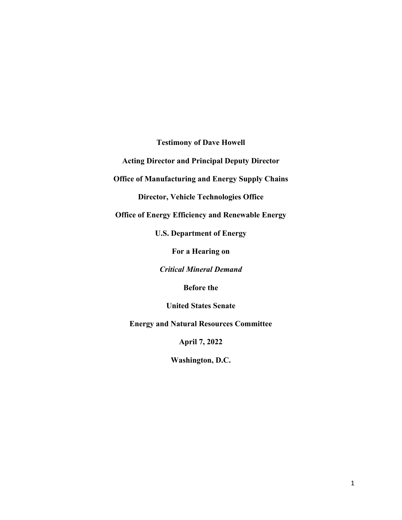**Testimony of Dave Howell**

**Acting Director and Principal Deputy Director** 

**Office of Manufacturing and Energy Supply Chains**

**Director, Vehicle Technologies Office**

**Office of Energy Efficiency and Renewable Energy** 

**U.S. Department of Energy**

**For a Hearing on**

*Critical Mineral Demand*

**Before the**

**United States Senate**

**Energy and Natural Resources Committee**

**April 7, 2022**

**Washington, D.C.**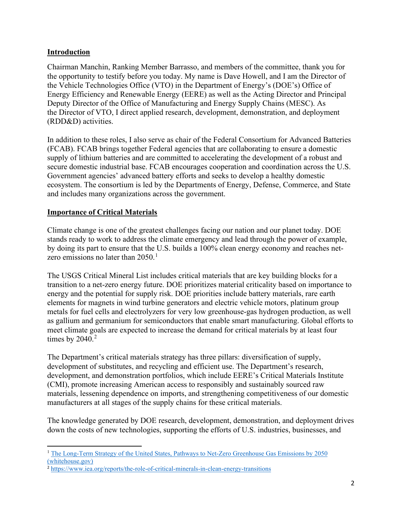## **Introduction**

Chairman Manchin, Ranking Member Barrasso, and members of the committee, thank you for the opportunity to testify before you today. My name is Dave Howell, and I am the Director of the Vehicle Technologies Office (VTO) in the Department of Energy's (DOE's) Office of Energy Efficiency and Renewable Energy (EERE) as well as the Acting Director and Principal Deputy Director of the Office of Manufacturing and Energy Supply Chains (MESC). As the Director of VTO, I direct applied research, development, demonstration, and deployment (RDD&D) activities.

In addition to these roles, I also serve as chair of the Federal Consortium for Advanced Batteries (FCAB). FCAB brings together Federal agencies that are collaborating to ensure a domestic supply of lithium batteries and are committed to accelerating the development of a robust and secure domestic industrial base. FCAB encourages cooperation and coordination across the U.S. Government agencies' advanced battery efforts and seeks to develop a healthy domestic ecosystem. The consortium is led by the Departments of Energy, Defense, Commerce, and State and includes many organizations across the government.

# **Importance of Critical Materials**

Climate change is one of the greatest challenges facing our nation and our planet today. DOE stands ready to work to address the climate emergency and lead through the power of example, by doing its part to ensure that the U.S. builds a 100% clean energy economy and reaches netzero emissions no later than  $2050$ .<sup>[1](#page-1-0)</sup>

The USGS Critical Mineral List includes critical materials that are key building blocks for a transition to a net-zero energy future. DOE prioritizes material criticality based on importance to energy and the potential for supply risk. DOE priorities include battery materials, rare earth elements for magnets in wind turbine generators and electric vehicle motors, platinum group metals for fuel cells and electrolyzers for very low greenhouse-gas hydrogen production, as well as gallium and germanium for semiconductors that enable smart manufacturing. Global efforts to meet climate goals are expected to increase the demand for critical materials by at least four times by  $2040.<sup>2</sup>$  $2040.<sup>2</sup>$ 

The Department's critical materials strategy has three pillars: diversification of supply, development of substitutes, and recycling and efficient use. The Department's research, development, and demonstration portfolios, which include EERE's Critical Materials Institute (CMI), promote increasing American access to responsibly and sustainably sourced raw materials, lessening dependence on imports, and strengthening competitiveness of our domestic manufacturers at all stages of the supply chains for these critical materials.

The knowledge generated by DOE research, development, demonstration, and deployment drives down the costs of new technologies, supporting the efforts of U.S. industries, businesses, and

<span id="page-1-0"></span><sup>&</sup>lt;sup>1</sup> The Long-Term Strategy of the United States, Pathways to Net-Zero Greenhouse Gas Emissions by 2050 [\(whitehouse.gov\)](https://www.whitehouse.gov/wp-content/uploads/2021/10/US-Long-Term-Strategy.pdf?msclkid=968fa2a1aa0611ecb28075c845caf308)

<span id="page-1-1"></span><sup>2</sup> <https://www.iea.org/reports/the-role-of-critical-minerals-in-clean-energy-transitions>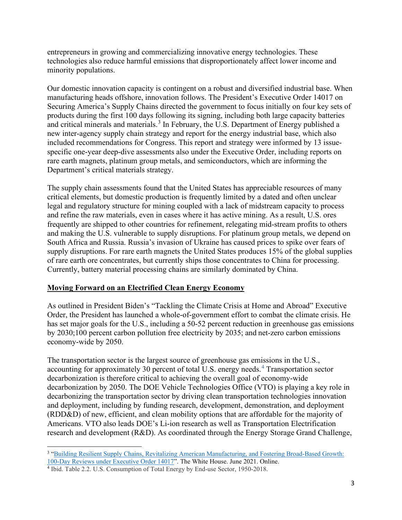entrepreneurs in growing and commercializing innovative energy technologies. These technologies also reduce harmful emissions that disproportionately affect lower income and minority populations.

Our domestic innovation capacity is contingent on a robust and diversified industrial base. When manufacturing heads offshore, innovation follows. The President's Executive Order 14017 on Securing America's Supply Chains directed the government to focus initially on four key sets of products during the first 100 days following its signing, including both large capacity batteries and critical minerals and materials.<sup>[3](#page-2-0)</sup> In February, the U.S. Department of Energy published a new inter-agency supply chain strategy and report for the energy industrial base, which also included recommendations for Congress. This report and strategy were informed by 13 issuespecific one-year deep-dive assessments also under the Executive Order, including reports on rare earth magnets, platinum group metals, and semiconductors, which are informing the Department's critical materials strategy.

The supply chain assessments found that the United States has appreciable resources of many critical elements, but domestic production is frequently limited by a dated and often unclear legal and regulatory structure for mining coupled with a lack of midstream capacity to process and refine the raw materials, even in cases where it has active mining. As a result, U.S. ores frequently are shipped to other countries for refinement, relegating mid-stream profits to others and making the U.S. vulnerable to supply disruptions. For platinum group metals, we depend on South Africa and Russia. Russia's invasion of Ukraine has caused prices to spike over fears of supply disruptions. For rare earth magnets the United States produces 15% of the global supplies of rare earth ore concentrates, but currently ships those concentrates to China for processing. Currently, battery material processing chains are similarly dominated by China.

### **Moving Forward on an Electrified Clean Energy Economy**

As outlined in President Biden's "Tackling the Climate Crisis at Home and Abroad" Executive Order, the President has launched a whole-of-government effort to combat the climate crisis. He has set major goals for the U.S., including a 50-52 percent reduction in greenhouse gas emissions by 2030;100 percent carbon pollution free electricity by 2035; and net-zero carbon emissions economy-wide by 2050.

The transportation sector is the largest source of greenhouse gas emissions in the U.S., accounting for approximately 30 percent of total U.S. energy needs.<sup>[4](#page-2-1)</sup> Transportation sector decarbonization is therefore critical to achieving the overall goal of economy-wide decarbonization by 2050. The DOE Vehicle Technologies Office (VTO) is playing a key role in decarbonizing the transportation sector by driving clean transportation technologies innovation and deployment, including by funding research, development, demonstration, and deployment (RDD&D) of new, efficient, and clean mobility options that are affordable for the majority of Americans. VTO also leads DOE's Li-ion research as well as Transportation Electrification research and development (R&D). As coordinated through the Energy Storage Grand Challenge,

<span id="page-2-0"></span><sup>&</sup>lt;sup>3</sup> "Building Resilient Supply Chains, Revitalizing American Manufacturing, and Fostering Broad-Based Growth: 100-Day Reviews under Executive Order 14017". The White House. June 2021. Online. 4 Ibid. Table 2.2. U.S. Consumption of Total Energy by End-use Sector, 1950-2018.

<span id="page-2-1"></span>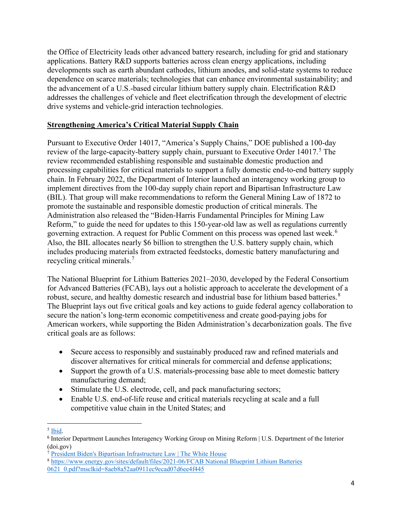the Office of Electricity leads other advanced battery research, including for grid and stationary applications. Battery R&D supports batteries across clean energy applications, including developments such as earth abundant cathodes, lithium anodes, and solid-state systems to reduce dependence on scarce materials; technologies that can enhance environmental sustainability; and the advancement of a U.S.-based circular lithium battery supply chain. Electrification R&D addresses the challenges of vehicle and fleet electrification through the development of electric drive systems and vehicle-grid interaction technologies.

#### **Strengthening America's Critical Material Supply Chain**

Pursuant to Executive Order 14017, "America's Supply Chains," DOE published a 100-day review of the large-capacity-battery supply chain, pursuant to Executive Order 14017.<sup>[5](#page-3-0)</sup> The review recommended establishing responsible and sustainable domestic production and processing capabilities for critical materials to support a fully domestic end-to-end battery supply chain. In February 2022, the Department of Interior launched an interagency working group to implement directives from the 100-day supply chain report and Bipartisan Infrastructure Law (BIL). That group will make recommendations to reform the General Mining Law of 1872 to promote the sustainable and responsible domestic production of critical minerals. The Administration also released the "Biden-Harris Fundamental Principles for Mining Law Reform," to guide the need for updates to this 150-year-old law as well as regulations currently governing extraction. A request for Public Comment on this process was opened last week.<sup>[6](#page-3-1)</sup> Also, the BIL allocates nearly \$6 billion to strengthen the U.S. battery supply chain, which includes producing materials from extracted feedstocks, domestic battery manufacturing and recycling critical minerals.<sup>[7](#page-3-2)</sup>

The National Blueprint for Lithium Batteries 2021–2030, developed by the Federal Consortium for Advanced Batteries (FCAB), lays out a holistic approach to accelerate the development of a robust, secure, and healthy domestic research and industrial base for lithium based batteries.<sup>[8](#page-3-3)</sup> The Blueprint lays out five critical goals and key actions to guide federal agency collaboration to secure the nation's long-term economic competitiveness and create good-paying jobs for American workers, while supporting the Biden Administration's decarbonization goals. The five critical goals are as follows:

- Secure access to responsibly and sustainably produced raw and refined materials and discover alternatives for critical minerals for commercial and defense applications;
- Support the growth of a U.S. materials-processing base able to meet domestic battery manufacturing demand;
- Stimulate the U.S. electrode, cell, and pack manufacturing sectors;
- Enable U.S. end-of-life reuse and critical materials recycling at scale and a full competitive value chain in the United States; and

<span id="page-3-0"></span><sup>5</sup> [Ibid.](https://www.whitehouse.gov/wp-content/uploads/2021/06/100-day-supply-chain-review-report.pdf?msclkid=ca15b9e3aa0611ecbb48bd90dc5582ea)

<span id="page-3-1"></span><sup>6</sup> Interior Department Launches Interagency Working Group on Mining Reform | U.S. Department of the Interior (doi.gov)

<span id="page-3-2"></span><sup>7</sup> [President Biden's Bipartisan Infrastructure Law | The White House](https://www.whitehouse.gov/bipartisan-infrastructure-law/?msclkid=2d43cac9aa0911ec82ecbcc445ca8768)

<span id="page-3-3"></span><sup>8</sup> [https://www.energy.gov/sites/default/files/2021-06/FCAB National Blueprint Lithium Batteries](https://www.energy.gov/sites/default/files/2021-06/FCAB%20National%20Blueprint%20Lithium%20Batteries%200621_0.pdf?msclkid=8aeb8a52aa0911ec9ecad07d6ee4f445)  [0621\\_0.pdf?msclkid=8aeb8a52aa0911ec9ecad07d6ee4f445](https://www.energy.gov/sites/default/files/2021-06/FCAB%20National%20Blueprint%20Lithium%20Batteries%200621_0.pdf?msclkid=8aeb8a52aa0911ec9ecad07d6ee4f445)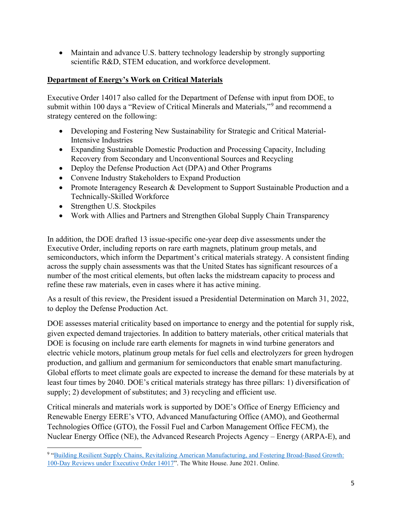• Maintain and advance U.S. battery technology leadership by strongly supporting scientific R&D, STEM education, and workforce development.

# **Department of Energy's Work on Critical Materials**

Executive Order 14017 also called for the Department of Defense with input from DOE, to submit within 100 days a "Review of Critical Minerals and Materials,"[9](#page-4-0) and recommend a strategy centered on the following:

- Developing and Fostering New Sustainability for Strategic and Critical Material-Intensive Industries
- Expanding Sustainable Domestic Production and Processing Capacity, Including Recovery from Secondary and Unconventional Sources and Recycling
- Deploy the Defense Production Act (DPA) and Other Programs
- Convene Industry Stakeholders to Expand Production
- Promote Interagency Research & Development to Support Sustainable Production and a Technically-Skilled Workforce
- Strengthen U.S. Stockpiles
- Work with Allies and Partners and Strengthen Global Supply Chain Transparency

In addition, the DOE drafted 13 issue-specific one-year deep dive assessments under the Executive Order, including reports on rare earth magnets, platinum group metals, and semiconductors, which inform the Department's critical materials strategy. A consistent finding across the supply chain assessments was that the United States has significant resources of a number of the most critical elements, but often lacks the midstream capacity to process and refine these raw materials, even in cases where it has active mining.

As a result of this review, the President issued a Presidential Determination on March 31, 2022, to deploy the Defense Production Act.

DOE assesses material criticality based on importance to energy and the potential for supply risk, given expected demand trajectories. In addition to battery materials, other critical materials that DOE is focusing on include rare earth elements for magnets in wind turbine generators and electric vehicle motors, platinum group metals for fuel cells and electrolyzers for green hydrogen production, and gallium and germanium for semiconductors that enable smart manufacturing. Global efforts to meet climate goals are expected to increase the demand for these materials by at least four times by 2040. DOE's critical materials strategy has three pillars: 1) diversification of supply; 2) development of substitutes; and 3) recycling and efficient use.

Critical minerals and materials work is supported by DOE's Office of Energy Efficiency and Renewable Energy EERE's VTO, Advanced Manufacturing Office (AMO), and Geothermal Technologies Office (GTO), the Fossil Fuel and Carbon Management Office FECM), the Nuclear Energy Office (NE), the Advanced Research Projects Agency – Energy (ARPA-E), and

<span id="page-4-0"></span><sup>9</sup> ["Building Resilient Supply Chains, Revitalizing American Manufacturing, and Fostering Broad-Based Growth:](https://www.whitehouse.gov/wp-content/uploads/2021/06/100-day-supply-chain-review-report.pdf?msclkid=ca15b9e3aa0611ecbb48bd90dc5582ea)  [100-Day Reviews under Executive Order 14017"](https://www.whitehouse.gov/wp-content/uploads/2021/06/100-day-supply-chain-review-report.pdf?msclkid=ca15b9e3aa0611ecbb48bd90dc5582ea). The White House. June 2021. Online.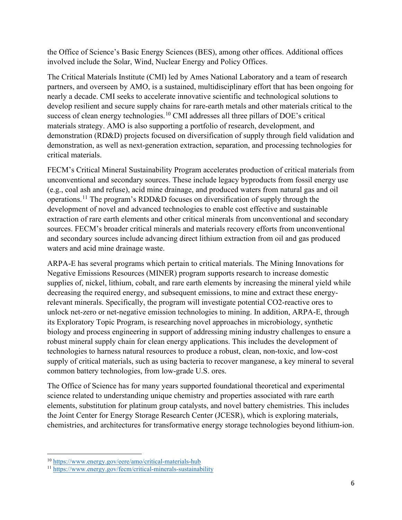the Office of Science's Basic Energy Sciences (BES), among other offices. Additional offices involved include the Solar, Wind, Nuclear Energy and Policy Offices.

The Critical Materials Institute (CMI) led by Ames National Laboratory and a team of research partners, and overseen by AMO, is a sustained, multidisciplinary effort that has been ongoing for nearly a decade. CMI seeks to accelerate innovative scientific and technological solutions to develop resilient and secure supply chains for rare-earth metals and other materials critical to the success of clean energy technologies.<sup>[10](#page-5-0)</sup> CMI addresses all three pillars of DOE's critical materials strategy. AMO is also supporting a portfolio of research, development, and demonstration (RD&D) projects focused on diversification of supply through field validation and demonstration, as well as next-generation extraction, separation, and processing technologies for critical materials.

FECM's Critical Mineral Sustainability Program accelerates production of critical materials from unconventional and secondary sources. These include legacy byproducts from fossil energy use (e.g., coal ash and refuse), acid mine drainage, and produced waters from natural gas and oil operations.[11](#page-5-1) The program's RDD&D focuses on diversification of supply through the development of novel and advanced technologies to enable cost effective and sustainable extraction of rare earth elements and other critical minerals from unconventional and secondary sources. FECM's broader critical minerals and materials recovery efforts from unconventional and secondary sources include advancing direct lithium extraction from oil and gas produced waters and acid mine drainage waste.

ARPA-E has several programs which pertain to critical materials. The Mining Innovations for Negative Emissions Resources (MINER) program supports research to increase domestic supplies of, nickel, lithium, cobalt, and rare earth elements by increasing the mineral yield while decreasing the required energy, and subsequent emissions, to mine and extract these energyrelevant minerals. Specifically, the program will investigate potential CO2-reactive ores to unlock net-zero or net-negative emission technologies to mining. In addition, ARPA-E, through its Exploratory Topic Program, is researching novel approaches in microbiology, synthetic biology and process engineering in support of addressing mining industry challenges to ensure a robust mineral supply chain for clean energy applications. This includes the development of technologies to harness natural resources to produce a robust, clean, non-toxic, and low-cost supply of critical materials, such as using bacteria to recover manganese, a key mineral to several common battery technologies, from low-grade U.S. ores.

The Office of Science has for many years supported foundational theoretical and experimental science related to understanding unique chemistry and properties associated with rare earth elements, substitution for platinum group catalysts, and novel battery chemistries. This includes the Joint Center for Energy Storage Research Center (JCESR), which is exploring materials, chemistries, and architectures for transformative energy storage technologies beyond lithium-ion.

<span id="page-5-0"></span><sup>10</sup> <https://www.energy.gov/eere/amo/critical-materials-hub>

<span id="page-5-1"></span><sup>11</sup> <https://www.energy.gov/fecm/critical-minerals-sustainability>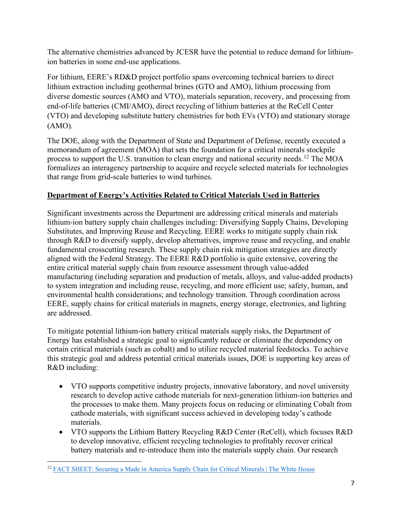The alternative chemistries advanced by JCESR have the potential to reduce demand for lithiumion batteries in some end-use applications.

For lithium, EERE's RD&D project portfolio spans overcoming technical barriers to direct lithium extraction including geothermal brines (GTO and AMO), lithium processing from diverse domestic sources (AMO and VTO), materials separation, recovery, and processing from end-of-life batteries (CMI/AMO), direct recycling of lithium batteries at the ReCell Center (VTO) and developing substitute battery chemistries for both EVs (VTO) and stationary storage (AMO).

The DOE, along with the Department of State and Department of Defense, recently executed a memorandum of agreement (MOA) that sets the foundation for a critical minerals stockpile process to support the U.S. transition to clean energy and national security needs.<sup>[12](#page-6-0)</sup> The MOA formalizes an interagency partnership to acquire and recycle selected materials for technologies that range from grid-scale batteries to wind turbines.

# **Department of Energy's Activities Related to Critical Materials Used in Batteries**

Significant investments across the Department are addressing critical minerals and materials lithium-ion battery supply chain challenges including: Diversifying Supply Chains, Developing Substitutes, and Improving Reuse and Recycling. EERE works to mitigate supply chain risk through R&D to diversify supply, develop alternatives, improve reuse and recycling, and enable fundamental crosscutting research. These supply chain risk mitigation strategies are directly aligned with the Federal Strategy. The EERE R&D portfolio is quite extensive, covering the entire critical material supply chain from resource assessment through value-added manufacturing (including separation and production of metals, alloys, and value-added products) to system integration and including reuse, recycling, and more efficient use; safety, human, and environmental health considerations; and technology transition. Through coordination across EERE, supply chains for critical materials in magnets, energy storage, electronics, and lighting are addressed.

To mitigate potential lithium-ion battery critical materials supply risks, the Department of Energy has established a strategic goal to significantly reduce or eliminate the dependency on certain critical materials (such as cobalt) and to utilize recycled material feedstocks. To achieve this strategic goal and address potential critical materials issues, DOE is supporting key areas of R&D including:

- VTO supports competitive industry projects, innovative laboratory, and novel university research to develop active cathode materials for next-generation lithium-ion batteries and the processes to make them. Many projects focus on reducing or eliminating Cobalt from cathode materials, with significant success achieved in developing today's cathode materials.
- VTO supports the Lithium Battery Recycling R&D Center (ReCell), which focuses R&D to develop innovative, efficient recycling technologies to profitably recover critical battery materials and re-introduce them into the materials supply chain. Our research

<span id="page-6-0"></span><sup>&</sup>lt;sup>12</sup> [FACT SHEET: Securing a Made in America Supply Chain for](https://www.whitehouse.gov/briefing-room/statements-releases/2022/02/22/fact-sheet-securing-a-made-in-america-supply-chain-for-critical-minerals/?msclkid=e328c535aa1711ecb0b48dd94682eb01) Critical Minerals | The White House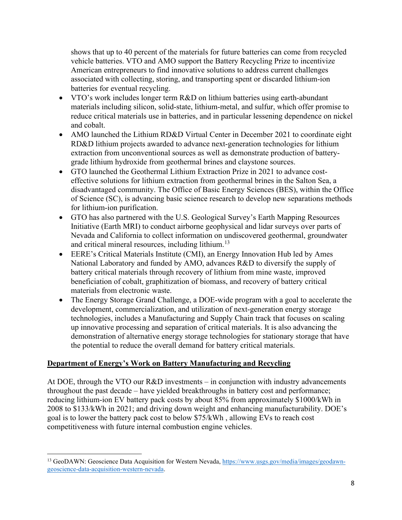shows that up to 40 percent of the materials for future batteries can come from recycled vehicle batteries. VTO and AMO support the Battery Recycling Prize to incentivize American entrepreneurs to find innovative solutions to address current challenges associated with collecting, storing, and transporting spent or discarded lithium-ion batteries for eventual recycling.

- VTO's work includes longer term R&D on lithium batteries using earth-abundant materials including silicon, solid-state, lithium-metal, and sulfur, which offer promise to reduce critical materials use in batteries, and in particular lessening dependence on nickel and cobalt.
- AMO launched the Lithium RD&D Virtual Center in December 2021 to coordinate eight RD&D lithium projects awarded to advance next-generation technologies for lithium extraction from unconventional sources as well as demonstrate production of batterygrade lithium hydroxide from geothermal brines and claystone sources.
- GTO launched the Geothermal Lithium Extraction Prize in 2021 to advance costeffective solutions for lithium extraction from geothermal brines in the Salton Sea, a disadvantaged community. The Office of Basic Energy Sciences (BES), within the Office of Science (SC), is advancing basic science research to develop new separations methods for lithium-ion purification.
- GTO has also partnered with the U.S. Geological Survey's Earth Mapping Resources Initiative (Earth MRI) to conduct airborne geophysical and lidar surveys over parts of Nevada and California to collect information on undiscovered geothermal, groundwater and critical mineral resources, including lithium.<sup>[13](#page-7-0)</sup>
- EERE's Critical Materials Institute (CMI), an Energy Innovation Hub led by Ames National Laboratory and funded by AMO, advances R&D to diversify the supply of battery critical materials through recovery of lithium from mine waste, improved beneficiation of cobalt, graphitization of biomass, and recovery of battery critical materials from electronic waste.
- The Energy Storage Grand Challenge, a DOE-wide program with a goal to accelerate the development, commercialization, and utilization of next-generation energy storage technologies, includes a Manufacturing and Supply Chain track that focuses on scaling up innovative processing and separation of critical materials. It is also advancing the demonstration of alternative energy storage technologies for stationary storage that have the potential to reduce the overall demand for battery critical materials.

### **Department of Energy's Work on Battery Manufacturing and Recycling**

At DOE, through the VTO our R&D investments – in conjunction with industry advancements throughout the past decade – have yielded breakthroughs in battery cost and performance; reducing lithium-ion EV battery pack costs by about 85% from approximately \$1000/kWh in 2008 to \$133/kWh in 2021; and driving down weight and enhancing manufacturability. DOE's goal is to lower the battery pack cost to below \$75/kWh , allowing EVs to reach cost competitiveness with future internal combustion engine vehicles.

<span id="page-7-0"></span><sup>&</sup>lt;sup>13</sup> GeoDAWN: Geoscience Data Acquisition for Western Nevada[, https://www.usgs.gov/media/images/geodawn](https://www.usgs.gov/media/images/geodawn-geoscience-data-acquisition-western-nevada)[geoscience-data-acquisition-western-nevada.](https://www.usgs.gov/media/images/geodawn-geoscience-data-acquisition-western-nevada)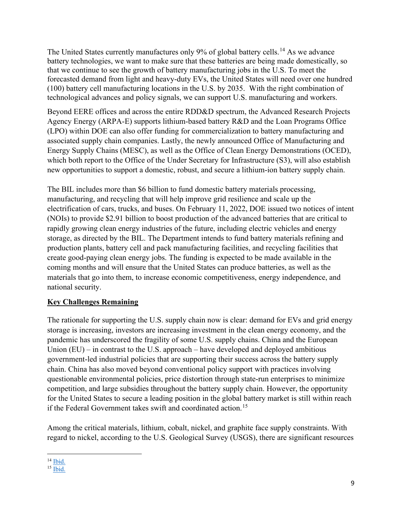The United States currently manufactures only 9% of global battery cells.<sup>[14](#page-8-0)</sup> As we advance battery technologies, we want to make sure that these batteries are being made domestically, so that we continue to see the growth of battery manufacturing jobs in the U.S. To meet the forecasted demand from light and heavy-duty EVs, the United States will need over one hundred (100) battery cell manufacturing locations in the U.S. by 2035. With the right combination of technological advances and policy signals, we can support U.S. manufacturing and workers.

Beyond EERE offices and across the entire RDD&D spectrum, the Advanced Research Projects Agency Energy (ARPA-E) supports lithium-based battery R&D and the Loan Programs Office (LPO) within DOE can also offer funding for commercialization to battery manufacturing and associated supply chain companies. Lastly, the newly announced Office of Manufacturing and Energy Supply Chains (MESC), as well as the Office of Clean Energy Demonstrations (OCED), which both report to the Office of the Under Secretary for Infrastructure (S3), will also establish new opportunities to support a domestic, robust, and secure a lithium-ion battery supply chain.

The BIL includes more than \$6 billion to fund domestic battery materials processing, manufacturing, and recycling that will help improve grid resilience and scale up the electrification of cars, trucks, and buses. On February 11, 2022, DOE issued two notices of intent (NOIs) to provide \$2.91 billion to boost production of the advanced batteries that are critical to rapidly growing clean energy industries of the future, including electric vehicles and energy storage, as directed by the BIL. The Department intends to fund battery materials refining and production plants, battery cell and pack manufacturing facilities, and recycling facilities that create good-paying clean energy jobs. The funding is expected to be made available in the coming months and will ensure that the United States can produce batteries, as well as the materials that go into them, to increase economic competitiveness, energy independence, and national security.

# **Key Challenges Remaining**

The rationale for supporting the U.S. supply chain now is clear: demand for EVs and grid energy storage is increasing, investors are increasing investment in the clean energy economy, and the pandemic has underscored the fragility of some U.S. supply chains. China and the European Union (EU) – in contrast to the U.S. approach – have developed and deployed ambitious government-led industrial policies that are supporting their success across the battery supply chain. China has also moved beyond conventional policy support with practices involving questionable environmental policies, price distortion through state-run enterprises to minimize competition, and large subsidies throughout the battery supply chain. However, the opportunity for the United States to secure a leading position in the global battery market is still within reach if the Federal Government takes swift and coordinated action.<sup>[15](#page-8-1)</sup>

Among the critical materials, lithium, cobalt, nickel, and graphite face supply constraints. With regard to nickel, according to the U.S. Geological Survey (USGS), there are significant resources

<span id="page-8-0"></span> $14$  [Ibid.](https://www.whitehouse.gov/wp-content/uploads/2021/06/100-day-supply-chain-review-report.pdf?msclkid=ca15b9e3aa0611ecbb48bd90dc5582ea)

<span id="page-8-1"></span><sup>15</sup> [Ibid.](https://www.whitehouse.gov/wp-content/uploads/2021/06/100-day-supply-chain-review-report.pdf?msclkid=ca15b9e3aa0611ecbb48bd90dc5582ea)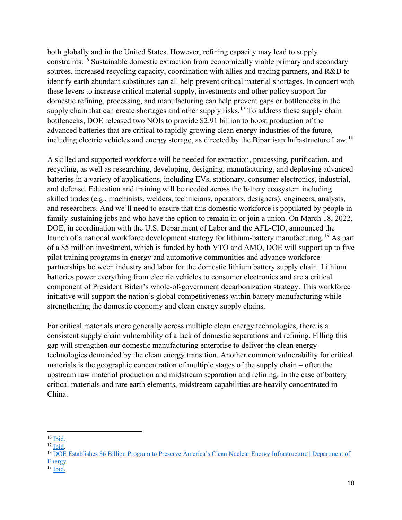both globally and in the United States. However, refining capacity may lead to supply constraints.[16](#page-9-0) Sustainable domestic extraction from economically viable primary and secondary sources, increased recycling capacity, coordination with allies and trading partners, and R&D to identify earth abundant substitutes can all help prevent critical material shortages. In concert with these levers to increase critical material supply, investments and other policy support for domestic refining, processing, and manufacturing can help prevent gaps or bottlenecks in the supply chain that can create shortages and other supply risks.<sup>[17](#page-9-1)</sup> To address these supply chain bottlenecks, DOE released two NOIs to provide \$2.91 billion to boost production of the advanced batteries that are critical to rapidly growing clean energy industries of the future, including electric vehicles and energy storage, as directed by the Bipartisan Infrastructure Law.[18](#page-9-2)

A skilled and supported workforce will be needed for extraction, processing, purification, and recycling, as well as researching, developing, designing, manufacturing, and deploying advanced batteries in a variety of applications, including EVs, stationary, consumer electronics, industrial, and defense. Education and training will be needed across the battery ecosystem including skilled trades (e.g., machinists, welders, technicians, operators, designers), engineers, analysts, and researchers. And we'll need to ensure that this domestic workforce is populated by people in family-sustaining jobs and who have the option to remain in or join a union. On March 18, 2022, DOE, in coordination with the U.S. Department of Labor and the AFL-CIO, announced the launch of a national workforce development strategy for lithium-battery manufacturing.<sup>[19](#page-9-3)</sup> As part of a \$5 million investment, which is funded by both VTO and AMO, DOE will support up to five pilot training programs in energy and automotive communities and advance workforce partnerships between industry and labor for the domestic lithium battery supply chain. Lithium batteries power everything from electric vehicles to consumer electronics and are a critical component of President Biden's whole-of-government decarbonization strategy. This workforce initiative will support the nation's global competitiveness within battery manufacturing while strengthening the domestic economy and clean energy supply chains.

For critical materials more generally across multiple clean energy technologies, there is a consistent supply chain vulnerability of a lack of domestic separations and refining. Filling this gap will strengthen our domestic manufacturing enterprise to deliver the clean energy technologies demanded by the clean energy transition. Another common vulnerability for critical materials is the geographic concentration of multiple stages of the supply chain – often the upstream raw material production and midstream separation and refining. In the case of battery critical materials and rare earth elements, midstream capabilities are heavily concentrated in China.

<span id="page-9-0"></span> $16$  [Ibid.](https://www.whitehouse.gov/wp-content/uploads/2021/06/100-day-supply-chain-review-report.pdf?msclkid=ca15b9e3aa0611ecbb48bd90dc5582ea)

<span id="page-9-1"></span><sup>&</sup>lt;sup>17</sup> [Ibid.](https://www.whitehouse.gov/wp-content/uploads/2021/06/100-day-supply-chain-review-report.pdf?msclkid=ca15b9e3aa0611ecbb48bd90dc5582ea)

<span id="page-9-2"></span><sup>&</sup>lt;sup>18</sup> DOE Establishes \$6 Billion Program to Preserve America's Clean Nuclear Energy Infrastructure | Department of **[Energy](https://www.energy.gov/articles/doe-establishes-6-billion-program-preserve-americas-clean-nuclear-energy-infrastructure?msclkid=854e7855aa0a11ec8bb6ad557a6ef190)** 

<span id="page-9-3"></span> $19$  [Ibid.](https://www.energy.gov/eere/amo/articles/doe-announces-5-million-launch-lithium-battery-workforce-initiative?msclkid=de09676caa0411ec970a5ecec0794b4d)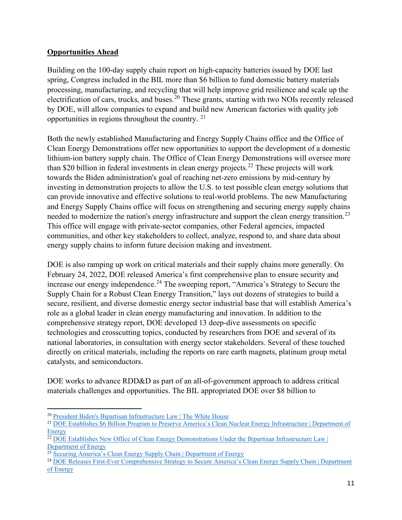# **Opportunities Ahead**

Building on the 100-day supply chain report on high-capacity batteries issued by DOE last spring, Congress included in the BIL more than \$6 billion to fund domestic battery materials processing, manufacturing, and recycling that will help improve grid resilience and scale up the electrification of cars, trucks, and buses.<sup>[20](#page-10-0)</sup> These grants, starting with two NOIs recently released by DOE, will allow companies to expand and build new American factories with quality job opportunities in regions throughout the country.  $2<sup>1</sup>$ 

Both the newly established Manufacturing and Energy Supply Chains office and the Office of Clean Energy Demonstrations offer new opportunities to support the development of a domestic lithium-ion battery supply chain. The Office of Clean Energy Demonstrations will oversee more than \$20 billion in federal investments in clean energy projects.<sup>[22](#page-10-2)</sup> These projects will work towards the Biden administration's goal of reaching net-zero emissions by mid-century by investing in demonstration projects to allow the U.S. to test possible clean energy solutions that can provide innovative and effective solutions to real-world problems. The new Manufacturing and Energy Supply Chains office will focus on strengthening and securing energy supply chains needed to modernize the nation's energy infrastructure and support the clean energy transition.<sup>[23](#page-10-3)</sup> This office will engage with private-sector companies, other Federal agencies, impacted communities, and other key stakeholders to collect, analyze, respond to, and share data about energy supply chains to inform future decision making and investment.

DOE is also ramping up work on critical materials and their supply chains more generally. On February 24, 2022, DOE released America's first comprehensive plan to ensure security and increase our energy independence.<sup>[24](#page-10-4)</sup> The sweeping report, "America's Strategy to Secure the Supply Chain for a Robust Clean Energy Transition," lays out dozens of strategies to build a secure, resilient, and diverse domestic energy sector industrial base that will establish America's role as a global leader in clean energy manufacturing and innovation. In addition to the comprehensive strategy report, DOE developed 13 deep-dive assessments on specific technologies and crosscutting topics, conducted by researchers from DOE and several of its national laboratories, in consultation with energy sector stakeholders. Several of these touched directly on critical materials, including the reports on rare earth magnets, platinum group metal catalysts, and semiconductors.

DOE works to advance RDD&D as part of an all-of-government approach to address critical materials challenges and opportunities. The BIL appropriated DOE over \$8 billion to

<span id="page-10-0"></span><sup>20</sup> [President Biden's Bipartisan Infrastructure Law | The White House](https://www.whitehouse.gov/bipartisan-infrastructure-law/?msclkid=2d43cac9aa0911ec82ecbcc445ca8768)

<span id="page-10-1"></span><sup>21</sup> [DOE Establishes \\$6 Billion Program to Preserve America's Clean Nuclear Energy Infrastructure | Department of](https://www.energy.gov/articles/doe-establishes-6-billion-program-preserve-americas-clean-nuclear-energy-infrastructure?msclkid=854e7855aa0a11ec8bb6ad557a6ef190)  **[Energy](https://www.energy.gov/articles/doe-establishes-6-billion-program-preserve-americas-clean-nuclear-energy-infrastructure?msclkid=854e7855aa0a11ec8bb6ad557a6ef190)** 

<span id="page-10-2"></span><sup>&</sup>lt;sup>22</sup> DOE Establishes New Office of Clean Energy Demonstrations Under the Bipartisan Infrastructure Law | [Department of Energy](https://www.energy.gov/articles/doe-establishes-new-office-clean-energy-demonstrations-under-bipartisan-infrastructure-law?msclkid=53c7a1c0aa0a11ec99133ece9a99afde)

<span id="page-10-3"></span><sup>&</sup>lt;sup>23</sup> [Securing America's Clean Energy Supply Chain | Department of Energy](https://www.energy.gov/policy/securing-americas-clean-energy-supply-chain?msclkid=720e78deaa0a11ec8c24300add4edfa1)

<span id="page-10-4"></span><sup>24</sup> [DOE Releases First-Ever Comprehensive Strategy to Secure America's Clean Energy Supply Chain | Department](https://www.energy.gov/articles/doe-releases-first-ever-comprehensive-strategy-secure-americas-clean-energy-supply-chain#:%7E:text=New%20Manufacturing%20and%20Energy%20Supply,support%20the%20clean%20energy%20transition.)  [of Energy](https://www.energy.gov/articles/doe-releases-first-ever-comprehensive-strategy-secure-americas-clean-energy-supply-chain#:%7E:text=New%20Manufacturing%20and%20Energy%20Supply,support%20the%20clean%20energy%20transition.)